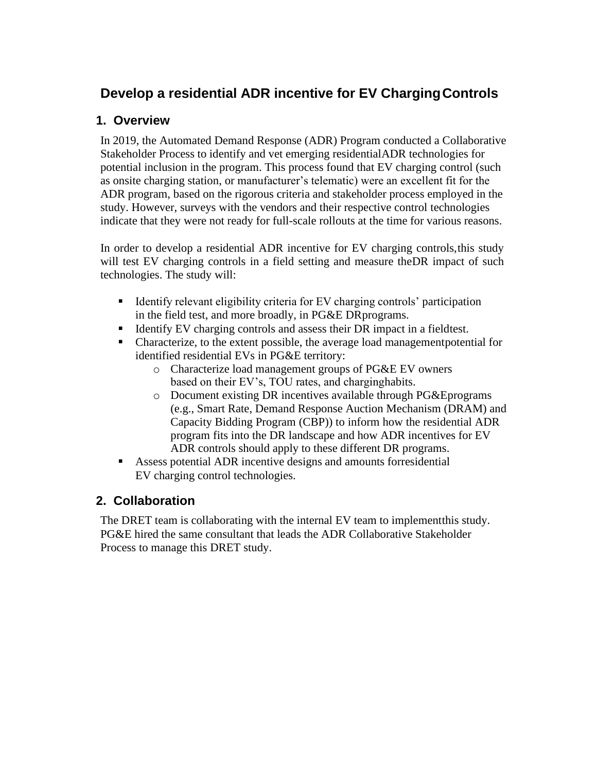# **Develop a residential ADR incentive for EV Charging Controls**

## **1. Overview**

In 2019, the Automated Demand Response (ADR) Program conducted a Collaborative Stakeholder Process to identify and vet emerging residentialADR technologies for potential inclusion in the program. This process found that EV charging control (such as onsite charging station, or manufacturer's telematic) were an excellent fit for the ADR program, based on the rigorous criteria and stakeholder process employed in the study. However, surveys with the vendors and their respective control technologies indicate that they were not ready for full-scale rollouts at the time for various reasons.

In order to develop a residential ADR incentive for EV charging controls,this study will test EV charging controls in a field setting and measure the DR impact of such technologies. The study will:

- Identify relevant eligibility criteria for EV charging controls' participation in the field test, and more broadly, in PG&E DRprograms.
- Identify EV charging controls and assess their DR impact in a fieldtest.
- Characterize, to the extent possible, the average load management potential for identified residential EVs in PG&E territory:
	- o Characterize load management groups of PG&E EV owners based on their EV's, TOU rates, and charginghabits.
	- o Document existing DR incentives available through PG&Eprograms (e.g., Smart Rate, Demand Response Auction Mechanism (DRAM) and Capacity Bidding Program (CBP)) to inform how the residential ADR program fits into the DR landscape and how ADR incentives for EV ADR controls should apply to these different DR programs.
- Assess potential ADR incentive designs and amounts forresidential EV charging control technologies.

### **2. Collaboration**

The DRET team is collaborating with the internal EV team to implementthis study. PG&E hired the same consultant that leads the ADR Collaborative Stakeholder Process to manage this DRET study.